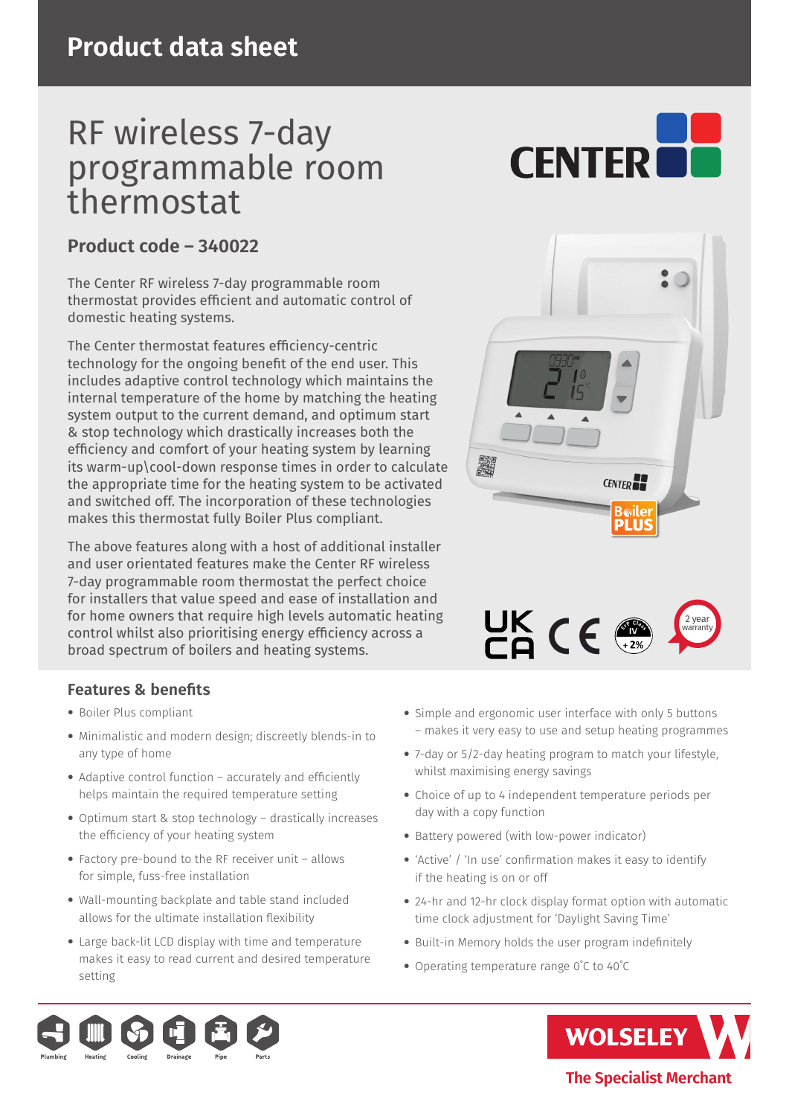# RF wireless 7-day programmable room thermostat

## **Product code – 340022**

The Center RF wireless 7-day programmable room thermostat provides efficient and automatic control of domestic heating systems.

The Center thermostat features efficiency-centric technology for the ongoing benefit of the end user. This includes adaptive control technology which maintains the internal temperature of the home by matching the heating system output to the current demand, and optimum start & stop technology which drastically increases both the efficiency and comfort of your heating system by learning its warm-up\cool-down response times in order to calculate the appropriate time for the heating system to be activated and switched off. The incorporation of these technologies makes this thermostat fully Boiler Plus compliant.

The above features along with a host of additional installer and user orientated features make the Center RF wireless 7-day programmable room thermostat the perfect choice for installers that value speed and ease of installation and for home owners that require high levels automatic heating control whilst also prioritising energy efficiency across a broad spectrum of boilers and heating systems.



**CENTER** 

### **Features & benefits**

- Boiler Plus compliant
- Minimalistic and modern design; discreetly blends-in to any type of home
- Adaptive control function accurately and efficiently helps maintain the required temperature setting
- Optimum start & stop technology drastically increases the efficiency of your heating system
- Factory pre-bound to the RF receiver unit allows for simple, fuss-free installation
- Wall-mounting backplate and table stand included allows for the ultimate installation flexibility
- Large back-lit LCD display with time and temperature makes it easy to read current and desired temperature setting
- Simple and ergonomic user interface with only 5 buttons – makes it very easy to use and setup heating programmes
- 7-day or 5/2-day heating program to match your lifestyle, whilst maximising energy savings
- Choice of up to 4 independent temperature periods per day with a copy function
- Battery powered (with low-power indicator)
- 'Active' / 'In use' confirmation makes it easy to identify if the heating is on or off
- 24-hr and 12-hr clock display format option with automatic time clock adjustment for 'Daylight Saving Time'
- Built-in Memory holds the user program indefinitely
- Operating temperature range 0˚C to 40˚C



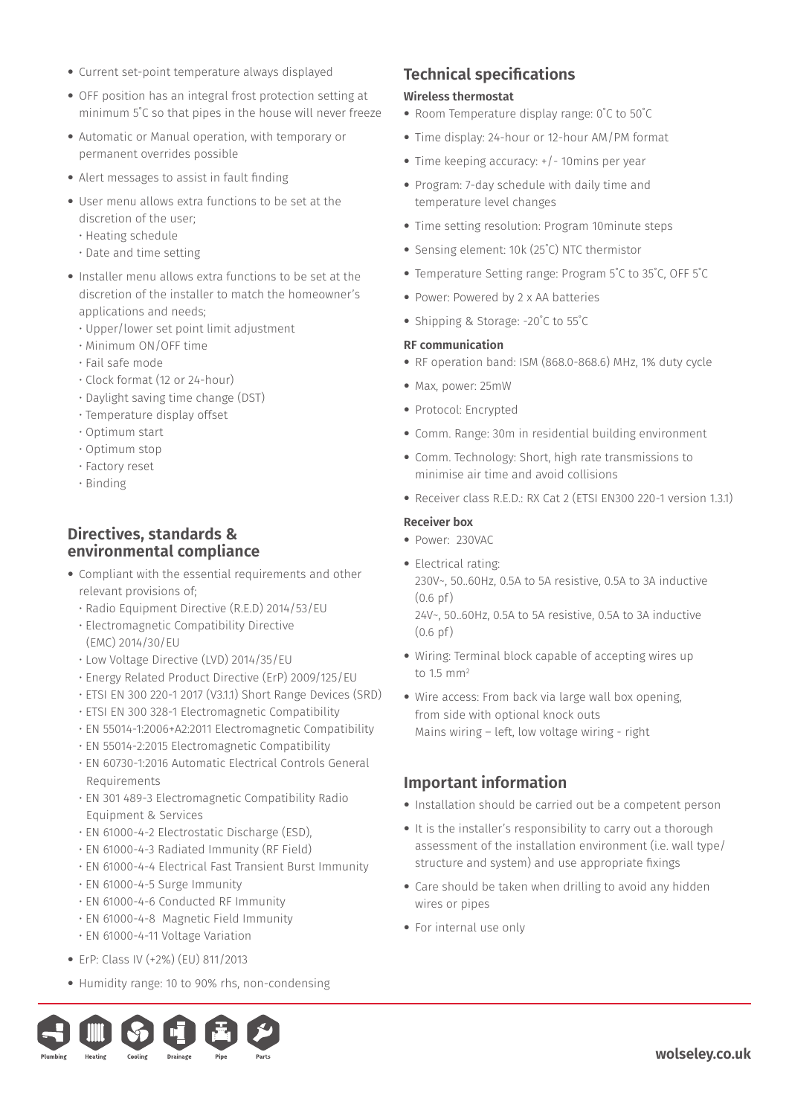- Current set-point temperature always displayed
- OFF position has an integral frost protection setting at minimum 5˚C so that pipes in the house will never freeze
- Automatic or Manual operation, with temporary or permanent overrides possible
- Alert messages to assist in fault finding
- User menu allows extra functions to be set at the discretion of the user;
	- Heating schedule
	- Date and time setting
- Installer menu allows extra functions to be set at the discretion of the installer to match the homeowner's applications and needs;
	- Upper/lower set point limit adjustment
	- Minimum ON/OFF time
	- Fail safe mode
	- Clock format (12 or 24-hour)
	- Daylight saving time change (DST)
	- Temperature display offset
	- Optimum start
	- Optimum stop
	- Factory reset
	- Binding

### **Directives, standards & environmental compliance**

- Compliant with the essential requirements and other relevant provisions of;
	- Radio Equipment Directive (R.E.D) 2014/53/EU
	- Electromagnetic Compatibility Directive (EMC) 2014/30/EU
	- Low Voltage Directive (LVD) 2014/35/EU
	- Energy Related Product Directive (ErP) 2009/125/EU
	- ETSI EN 300 220-1 2017 (V3.1.1) Short Range Devices (SRD)
	- ETSI EN 300 328-1 Electromagnetic Compatibility
	- EN 55014-1:2006+A2:2011 Electromagnetic Compatibility
	- EN 55014-2:2015 Electromagnetic Compatibility
	- EN 60730-1:2016 Automatic Electrical Controls General Requirements
	- EN 301 489-3 Electromagnetic Compatibility Radio Equipment & Services
	- EN 61000-4-2 Electrostatic Discharge (ESD),
	- EN 61000-4-3 Radiated Immunity (RF Field)
	- EN 61000-4-4 Electrical Fast Transient Burst Immunity
	- EN 61000-4-5 Surge Immunity
	- EN 61000-4-6 Conducted RF Immunity
	- EN 61000-4-8 Magnetic Field Immunity
- EN 61000-4-11 Voltage Variation
- ErP: Class IV (+2%) (EU) 811/2013
- Humidity range: 10 to 90% rhs, non-condensing

### **Technical specifications**

#### **Wireless thermostat**

- Room Temperature display range: 0˚C to 50˚C
- Time display: 24-hour or 12-hour AM/PM format
- Time keeping accuracy: +/- 10mins per year
- Program: 7-day schedule with daily time and temperature level changes
- Time setting resolution: Program 10minute steps
- Sensing element: 10k (25˚C) NTC thermistor
- Temperature Setting range: Program 5˚C to 35˚C, OFF 5˚C
- Power: Powered by 2 x AA batteries
- Shipping & Storage: -20˚C to 55˚C

### **RF communication**

- RF operation band: ISM (868.0-868.6) MHz, 1% duty cycle
- Max, power: 25mW
- Protocol: Encrypted
- Comm. Range: 30m in residential building environment
- Comm. Technology: Short, high rate transmissions to minimise air time and avoid collisions
- Receiver class R.E.D.: RX Cat 2 (ETSI EN300 220-1 version 1.3.1)

### **Receiver box**

- Power: 230VAC
- Electrical rating: 230V~, 50..60Hz, 0.5A to 5A resistive, 0.5A to 3A inductive (0.6 pf)

24V~, 50..60Hz, 0.5A to 5A resistive, 0.5A to 3A inductive (0.6 pf)

- Wiring: Terminal block capable of accepting wires up to 1.5 mm2
- Wire access: From back via large wall box opening, from side with optional knock outs Mains wiring – left, low voltage wiring - right

### **Important information**

- Installation should be carried out be a competent person
- It is the installer's responsibility to carry out a thorough assessment of the installation environment (i.e. wall type/ structure and system) and use appropriate fixings
- Care should be taken when drilling to avoid any hidden wires or pipes
- For internal use only